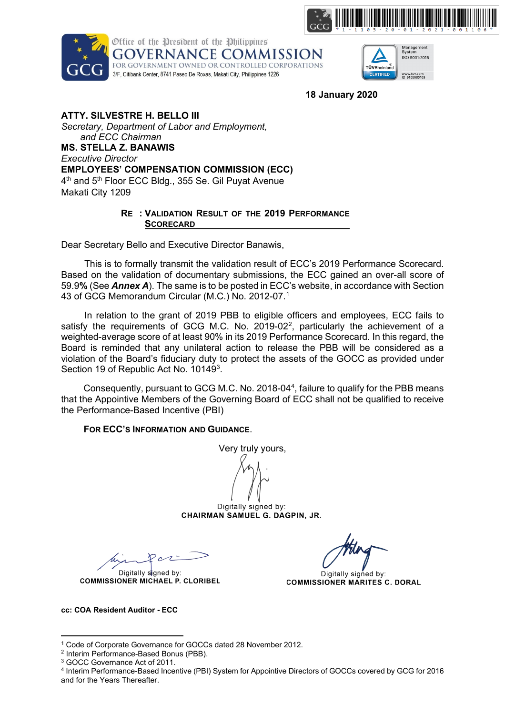





**18 January 2020**

**ATTY. SILVESTRE H. BELLO III** *Secretary, Department of Labor and Employment, and ECC Chairman* **MS. STELLA Z. BANAWIS** *Executive Director* **EMPLOYEES' COMPENSATION COMMISSION (ECC)** 4<sup>th</sup> and 5<sup>th</sup> Floor ECC Bldg., 355 Se. Gil Puyat Avenue Makati City 1209

### **RE : VALIDATION RESULT OF THE 2019 PERFORMANCE SCORECARD**

Dear Secretary Bello and Executive Director Banawis,

This is to formally transmit the validation result of ECC's 2019 Performance Scorecard. Based on the validation of documentary submissions, the ECC gained an over-all score of 59.9**%** (See *Annex A*). The same is to be posted in ECC's website, in accordance with Section 43 of GCG Memorandum Circular (M.C.) No. 2012-07.[1](#page-0-0)

In relation to the grant of 2019 PBB to eligible officers and employees, ECC fails to satisfy the requirements of GCG M.C. No. [2](#page-0-1)019-02 $^2$ , particularly the achievement of a weighted-average score of at least 90% in its 2019 Performance Scorecard. In this regard, the Board is reminded that any unilateral action to release the PBB will be considered as a violation of the Board's fiduciary duty to protect the assets of the GOCC as provided under Section 19 of Republic Act No. 10149<sup>[3](#page-0-2)</sup>.

Consequently, pursuant to GCG M.C. No. 2018-0[4](#page-0-3)<sup>4</sup>, failure to qualify for the PBB means that the Appointive Members of the Governing Board of ECC shall not be qualified to receive the Performance-Based Incentive (PBI)

## **FOR ECC'S INFORMATION AND GUIDANCE**.

Very truly yours, Digitally signed by:

CHAIRMAN SAMUEL G. DAGPIN, JR.

Digitally signed by: **COMMISSIONER MICHAEL P. CLORIBEL** 

Digitally signed by: **COMMISSIONER MARITES C. DORAL** 

**cc: COA Resident Auditor - ECC** 

<span id="page-0-0"></span><sup>1</sup> Code of Corporate Governance for GOCCs dated 28 November 2012.

<span id="page-0-1"></span><sup>2</sup> Interim Performance-Based Bonus (PBB).

<span id="page-0-2"></span><sup>3</sup> GOCC Governance Act of 2011.

<span id="page-0-3"></span><sup>4</sup> Interim Performance-Based Incentive (PBI) System for Appointive Directors of GOCCs covered by GCG for 2016 and for the Years Thereafter.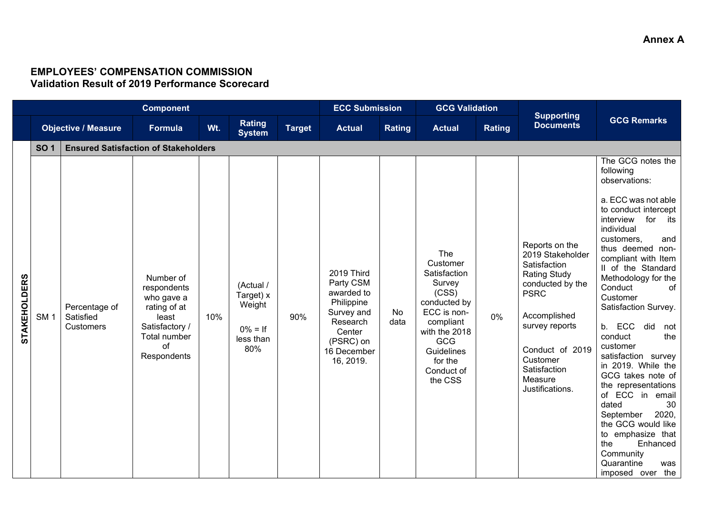# **EMPLOYEES' COMPENSATION COMMISSION Validation Result of 2019 Performance Scorecard**

|                     | <b>Component</b> |                                             |                                                                                                                        |     |                                                                    |               |                                                                                                                                  | <b>ECC Submission</b> |                                                                                                                                                                                 | <b>GCG Validation</b> |                                                                                                                                                                                                                             |                                                                                                                                                                                                                                                                                                                                                                                                                                                                                                                                                                                                                                                |
|---------------------|------------------|---------------------------------------------|------------------------------------------------------------------------------------------------------------------------|-----|--------------------------------------------------------------------|---------------|----------------------------------------------------------------------------------------------------------------------------------|-----------------------|---------------------------------------------------------------------------------------------------------------------------------------------------------------------------------|-----------------------|-----------------------------------------------------------------------------------------------------------------------------------------------------------------------------------------------------------------------------|------------------------------------------------------------------------------------------------------------------------------------------------------------------------------------------------------------------------------------------------------------------------------------------------------------------------------------------------------------------------------------------------------------------------------------------------------------------------------------------------------------------------------------------------------------------------------------------------------------------------------------------------|
|                     |                  | <b>Objective / Measure</b>                  | Formula                                                                                                                | Wt. | Rating<br><b>System</b>                                            | <b>Target</b> | <b>Actual</b>                                                                                                                    | Rating                | <b>Actual</b>                                                                                                                                                                   | <b>Rating</b>         | <b>Supporting</b><br><b>Documents</b>                                                                                                                                                                                       | <b>GCG Remarks</b>                                                                                                                                                                                                                                                                                                                                                                                                                                                                                                                                                                                                                             |
|                     | <b>SO 1</b>      | <b>Ensured Satisfaction of Stakeholders</b> |                                                                                                                        |     |                                                                    |               |                                                                                                                                  |                       |                                                                                                                                                                                 |                       |                                                                                                                                                                                                                             |                                                                                                                                                                                                                                                                                                                                                                                                                                                                                                                                                                                                                                                |
| <b>STAKEHOLDERS</b> | SM <sub>1</sub>  | Percentage of<br>Satisfied<br>Customers     | Number of<br>respondents<br>who gave a<br>rating of at<br>least<br>Satisfactory /<br>Total number<br>of<br>Respondents | 10% | (Actual /<br>Target) x<br>Weight<br>$0\% = If$<br>less than<br>80% | 90%           | 2019 Third<br>Party CSM<br>awarded to<br>Philippine<br>Survey and<br>Research<br>Center<br>(PSRC) on<br>16 December<br>16, 2019. | No<br>data            | The<br>Customer<br>Satisfaction<br>Survey<br>(CSS)<br>conducted by<br>ECC is non-<br>compliant<br>with the 2018<br><b>GCG</b><br>Guidelines<br>for the<br>Conduct of<br>the CSS | 0%                    | Reports on the<br>2019 Stakeholder<br>Satisfaction<br><b>Rating Study</b><br>conducted by the<br><b>PSRC</b><br>Accomplished<br>survey reports<br>Conduct of 2019<br>Customer<br>Satisfaction<br>Measure<br>Justifications. | The GCG notes the<br>following<br>observations:<br>a. ECC was not able<br>to conduct intercept<br>for its<br>interview<br>individual<br>customers,<br>and<br>thus deemed non-<br>compliant with Item<br>II of the Standard<br>Methodology for the<br>Conduct<br>of <sub>1</sub><br>Customer<br>Satisfaction Survey.<br>b. ECC did<br>not<br>conduct<br>the<br>customer<br>satisfaction survey<br>in 2019. While the<br>GCG takes note of<br>the representations<br>of ECC in<br>email<br>dated<br>30<br>2020,<br>September<br>the GCG would like<br>to emphasize that<br>the<br>Enhanced<br>Community<br>Quarantine<br>was<br>imposed over the |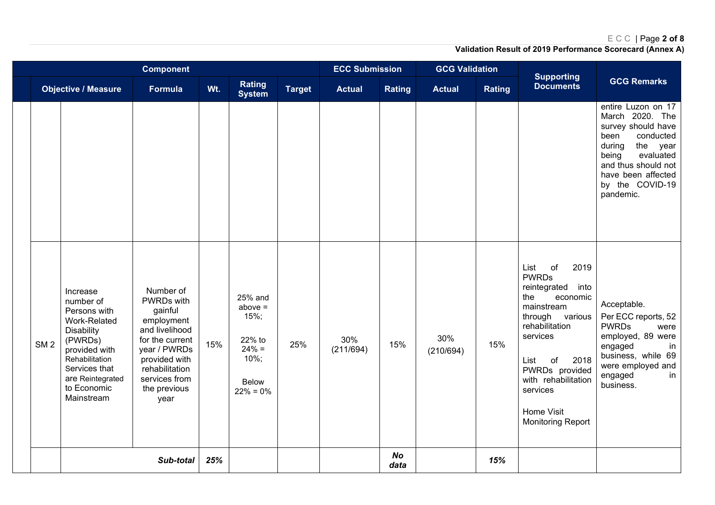## ECC | Page **2 of 8**

|                 |                                                                                                                                                                                            | <b>Component</b>                                                                                                                                                                  |     |                                                                                              |               | <b>ECC Submission</b> |                   | <b>GCG Validation</b> |               |                                                                                                                                                                                                                                                                   |                                                                                                                                                                                                           |
|-----------------|--------------------------------------------------------------------------------------------------------------------------------------------------------------------------------------------|-----------------------------------------------------------------------------------------------------------------------------------------------------------------------------------|-----|----------------------------------------------------------------------------------------------|---------------|-----------------------|-------------------|-----------------------|---------------|-------------------------------------------------------------------------------------------------------------------------------------------------------------------------------------------------------------------------------------------------------------------|-----------------------------------------------------------------------------------------------------------------------------------------------------------------------------------------------------------|
|                 | <b>Objective / Measure</b>                                                                                                                                                                 | <b>Formula</b>                                                                                                                                                                    | Wt. | <b>Rating</b><br><b>System</b>                                                               | <b>Target</b> | <b>Actual</b>         | <b>Rating</b>     | <b>Actual</b>         | <b>Rating</b> | <b>Supporting</b><br><b>Documents</b>                                                                                                                                                                                                                             | <b>GCG Remarks</b>                                                                                                                                                                                        |
|                 |                                                                                                                                                                                            |                                                                                                                                                                                   |     |                                                                                              |               |                       |                   |                       |               |                                                                                                                                                                                                                                                                   | entire Luzon on 17<br>March 2020. The<br>survey should have<br>conducted<br>been<br>the year<br>during<br>evaluated<br>being<br>and thus should not<br>have been affected<br>by the COVID-19<br>pandemic. |
| SM <sub>2</sub> | Increase<br>number of<br>Persons with<br>Work-Related<br><b>Disability</b><br>(PWRDs)<br>provided with<br>Rehabilitation<br>Services that<br>are Reintegrated<br>to Economic<br>Mainstream | Number of<br>PWRDs with<br>gainful<br>employment<br>and livelihood<br>for the current<br>year / PWRDs<br>provided with<br>rehabilitation<br>services from<br>the previous<br>year | 15% | 25% and<br>$above =$<br>15%;<br>22% to<br>$24% =$<br>$10\%;$<br><b>Below</b><br>$22\% = 0\%$ | 25%           | 30%<br>(211/694)      | 15%               | 30%<br>(210/694)      | 15%           | List<br>of<br>2019<br><b>PWRDs</b><br>reintegrated<br>into<br>the<br>economic<br>mainstream<br>through various<br>rehabilitation<br>services<br>2018<br>List<br>of<br>PWRDs provided<br>with rehabilitation<br>services<br>Home Visit<br><b>Monitoring Report</b> | Acceptable.<br>Per ECC reports, 52<br><b>PWRDs</b><br>were<br>employed, 89 were<br>engaged<br>in<br>business, while 69<br>were employed and<br>engaged<br>in<br>business.                                 |
|                 |                                                                                                                                                                                            | Sub-total                                                                                                                                                                         | 25% |                                                                                              |               |                       | <b>No</b><br>data |                       | 15%           |                                                                                                                                                                                                                                                                   |                                                                                                                                                                                                           |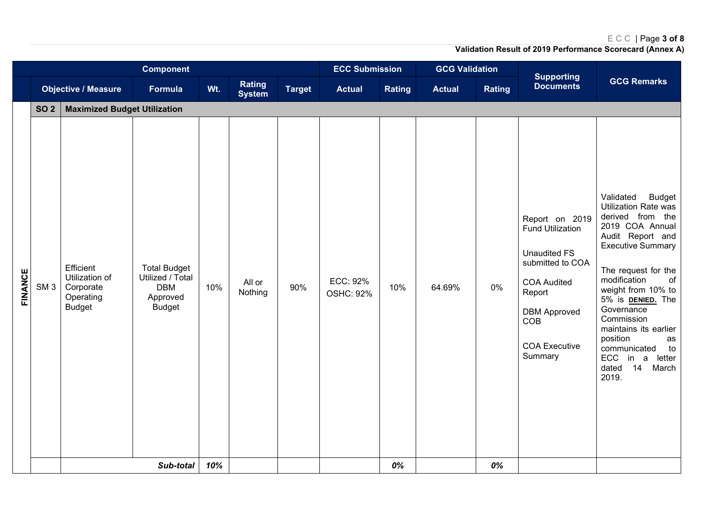# ECC | Page **3 of 8**

| <b>GCG Remarks</b><br><b>Rating</b><br><b>Documents</b><br>Wt.<br><b>Target</b><br><b>Objective / Measure</b><br>Formula<br><b>Rating</b><br><b>Actual</b><br>Rating<br><b>Actual</b><br><b>System</b><br><b>SO 2</b><br><b>Maximized Budget Utilization</b><br>Validated<br><b>Budget</b><br>Utilization Rate was<br>derived from the<br>Report on 2019<br>2019 COA Annual<br><b>Fund Utilization</b><br>Audit Report and<br><b>Executive Summary</b><br><b>Unaudited FS</b><br>submitted to COA<br>Efficient<br><b>Total Budget</b><br>The request for the<br>Utilization of<br>Utilized / Total<br>modification<br>of<br>ECC: 92%<br>All or<br><b>COA Audited</b><br>$0\%$<br>10%<br>90%<br>SM <sub>3</sub><br><b>DBM</b><br>10%<br>64.69%<br>Corporate<br>weight from 10% to<br>Nothing<br>Report<br><b>OSHC: 92%</b><br>Operating<br>Approved<br>5% is <b>DENIED.</b> The<br><b>Budget</b><br><b>Budget</b><br>Governance<br><b>DBM Approved</b><br>Commission<br>COB<br>maintains its earlier<br>position<br>as<br><b>COA Executive</b><br>communicated<br>to<br>Summary<br>letter<br><b>ECC</b><br>in a<br>14<br>dated<br>March<br>2019. |         |  | <b>Component</b> |     |  |  | <b>ECC Submission</b> |       | <b>GCG Validation</b> |    | <b>Supporting</b> |  |
|-------------------------------------------------------------------------------------------------------------------------------------------------------------------------------------------------------------------------------------------------------------------------------------------------------------------------------------------------------------------------------------------------------------------------------------------------------------------------------------------------------------------------------------------------------------------------------------------------------------------------------------------------------------------------------------------------------------------------------------------------------------------------------------------------------------------------------------------------------------------------------------------------------------------------------------------------------------------------------------------------------------------------------------------------------------------------------------------------------------------------------------------------|---------|--|------------------|-----|--|--|-----------------------|-------|-----------------------|----|-------------------|--|
|                                                                                                                                                                                                                                                                                                                                                                                                                                                                                                                                                                                                                                                                                                                                                                                                                                                                                                                                                                                                                                                                                                                                                 |         |  |                  |     |  |  |                       |       |                       |    |                   |  |
|                                                                                                                                                                                                                                                                                                                                                                                                                                                                                                                                                                                                                                                                                                                                                                                                                                                                                                                                                                                                                                                                                                                                                 |         |  |                  |     |  |  |                       |       |                       |    |                   |  |
|                                                                                                                                                                                                                                                                                                                                                                                                                                                                                                                                                                                                                                                                                                                                                                                                                                                                                                                                                                                                                                                                                                                                                 | FINANCE |  | Sub-total        | 10% |  |  |                       | $0\%$ |                       | 0% |                   |  |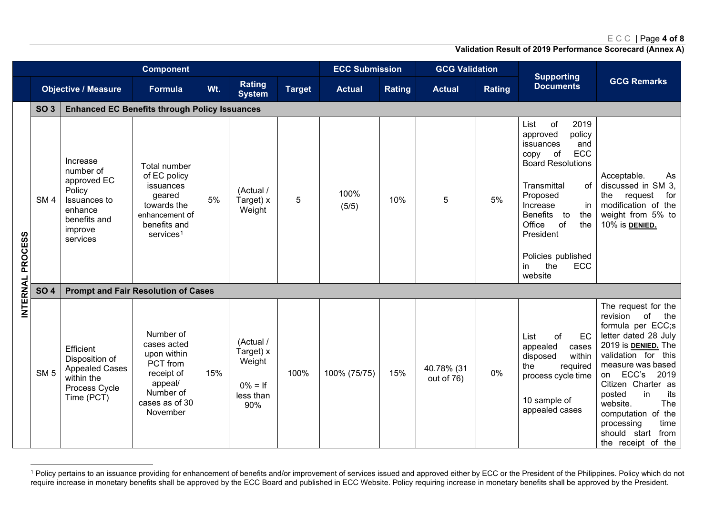### <span id="page-4-0"></span>ECC | Page **4 of 8**

|                  |                 |                                                                                                                  | <b>Component</b>                                                                                                              |     |                                                                    | <b>ECC Submission</b> |               | <b>GCG Validation</b> |                          |        |                                                                                                                                                                                                                                                                                           |                                                                                                                                                                                                                                                                                                                                                       |
|------------------|-----------------|------------------------------------------------------------------------------------------------------------------|-------------------------------------------------------------------------------------------------------------------------------|-----|--------------------------------------------------------------------|-----------------------|---------------|-----------------------|--------------------------|--------|-------------------------------------------------------------------------------------------------------------------------------------------------------------------------------------------------------------------------------------------------------------------------------------------|-------------------------------------------------------------------------------------------------------------------------------------------------------------------------------------------------------------------------------------------------------------------------------------------------------------------------------------------------------|
|                  |                 | <b>Objective / Measure</b>                                                                                       | <b>Formula</b>                                                                                                                | Wt. | <b>Rating</b><br><b>System</b>                                     | <b>Target</b>         | <b>Actual</b> | <b>Rating</b>         | <b>Actual</b>            | Rating | <b>Supporting</b><br><b>Documents</b>                                                                                                                                                                                                                                                     | <b>GCG Remarks</b>                                                                                                                                                                                                                                                                                                                                    |
|                  | <b>SO 3</b>     | <b>Enhanced EC Benefits through Policy Issuances</b>                                                             |                                                                                                                               |     |                                                                    |                       |               |                       |                          |        |                                                                                                                                                                                                                                                                                           |                                                                                                                                                                                                                                                                                                                                                       |
| INTERNAL PROCESS | SM <sub>4</sub> | Increase<br>number of<br>approved EC<br>Policy<br>Issuances to<br>enhance<br>benefits and<br>improve<br>services | Total number<br>of EC policy<br>issuances<br>geared<br>towards the<br>enhancement of<br>benefits and<br>services <sup>1</sup> | 5%  | (Actual /<br>Target) x<br>Weight                                   | 5                     | 100%<br>(5/5) | 10%                   | 5                        | 5%     | of<br>2019<br>List<br>approved<br>policy<br>issuances<br>and<br>ECC<br>of<br>copy<br><b>Board Resolutions</b><br>Transmittal<br>of<br>Proposed<br>in<br>Increase<br><b>Benefits</b><br>to<br>the<br>of<br>Office<br>the<br>President<br>Policies published<br>the<br>ECC<br>in<br>website | Acceptable.<br>As<br>discussed in SM 3,<br>request<br>for<br>the<br>modification of the<br>weight from 5% to<br>10% is DENIED.                                                                                                                                                                                                                        |
|                  | <b>SO 4</b>     | <b>Prompt and Fair Resolution of Cases</b>                                                                       |                                                                                                                               |     |                                                                    |                       |               |                       |                          |        |                                                                                                                                                                                                                                                                                           |                                                                                                                                                                                                                                                                                                                                                       |
|                  | SM <sub>5</sub> | Efficient<br>Disposition of<br><b>Appealed Cases</b><br>within the<br>Process Cycle<br>Time (PCT)                | Number of<br>cases acted<br>upon within<br>PCT from<br>receipt of<br>appeal/<br>Number of<br>cases as of 30<br>November       | 15% | (Actual /<br>Target) x<br>Weight<br>$0\% = If$<br>less than<br>90% | 100%                  | 100% (75/75)  | 15%                   | 40.78% (31<br>out of 76) | 0%     | of<br>List<br>EC<br>appealed<br>cases<br>within<br>disposed<br>required<br>the<br>process cycle time<br>10 sample of<br>appealed cases                                                                                                                                                    | The request for the<br>of<br>the<br>revision<br>formula per ECC;s<br>letter dated 28 July<br>2019 is <b>DENIED</b> . The<br>validation for this<br>measure was based<br>ECC's<br>2019<br>on<br>Citizen Charter as<br>posted<br>in<br>its<br>The<br>website.<br>computation of the<br>time<br>processing<br>should start<br>from<br>the receipt of the |

<sup>&</sup>lt;sup>1</sup> Policy pertains to an issuance providing for enhancement of benefits and/or improvement of services issued and approved either by ECC or the President of the Philippines. Policy which do not require increase in monetary benefits shall be approved by the ECC Board and published in ECC Website. Policy requiring increase in monetary benefits shall be approved by the President.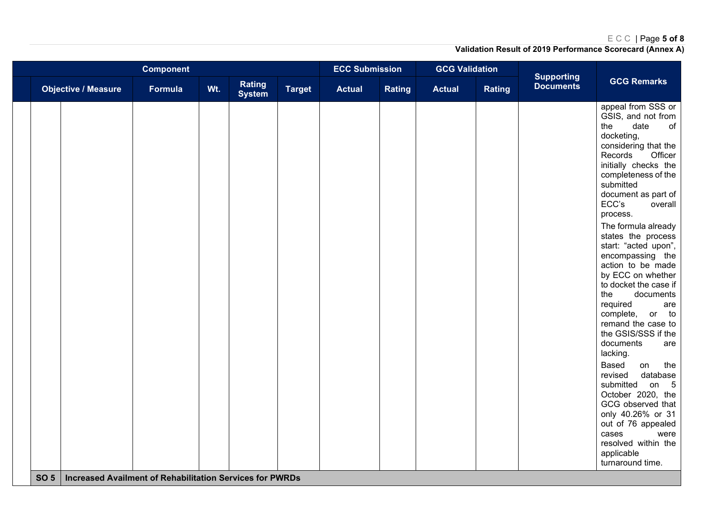# ECC | Page **5 of 8**

|                                                                                    |         |     | <b>ECC Submission</b>          |               | <b>GCG Validation</b> |               |               |               |                                       |                                                                                                                                                                                                                                                                                                                                                                                                                                                                                                                                                                                                                                                                                                                                                                                       |
|------------------------------------------------------------------------------------|---------|-----|--------------------------------|---------------|-----------------------|---------------|---------------|---------------|---------------------------------------|---------------------------------------------------------------------------------------------------------------------------------------------------------------------------------------------------------------------------------------------------------------------------------------------------------------------------------------------------------------------------------------------------------------------------------------------------------------------------------------------------------------------------------------------------------------------------------------------------------------------------------------------------------------------------------------------------------------------------------------------------------------------------------------|
| <b>Objective / Measure</b>                                                         | Formula | Wt. | <b>Rating</b><br><b>System</b> | <b>Target</b> | <b>Actual</b>         | <b>Rating</b> | <b>Actual</b> | <b>Rating</b> | <b>Supporting</b><br><b>Documents</b> | <b>GCG Remarks</b>                                                                                                                                                                                                                                                                                                                                                                                                                                                                                                                                                                                                                                                                                                                                                                    |
| SO <sub>5</sub><br><b>Increased Availment of Rehabilitation Services for PWRDs</b> |         |     |                                |               |                       |               |               |               |                                       | appeal from SSS or<br>GSIS, and not from<br>date<br>of<br>the<br>docketing,<br>considering that the<br>Records<br>Officer<br>initially checks the<br>completeness of the<br>submitted<br>document as part of<br>ECC's<br>overall<br>process.<br>The formula already<br>states the process<br>start: "acted upon",<br>encompassing the<br>action to be made<br>by ECC on whether<br>to docket the case if<br>documents<br>the<br>required<br>are<br>or to<br>complete,<br>remand the case to<br>the GSIS/SSS if the<br>documents<br>are<br>lacking.<br>Based<br>on<br>the<br>revised<br>database<br>submitted<br>on $5$<br>October 2020, the<br>GCG observed that<br>only 40.26% or 31<br>out of 76 appealed<br>cases<br>were<br>resolved within the<br>applicable<br>turnaround time. |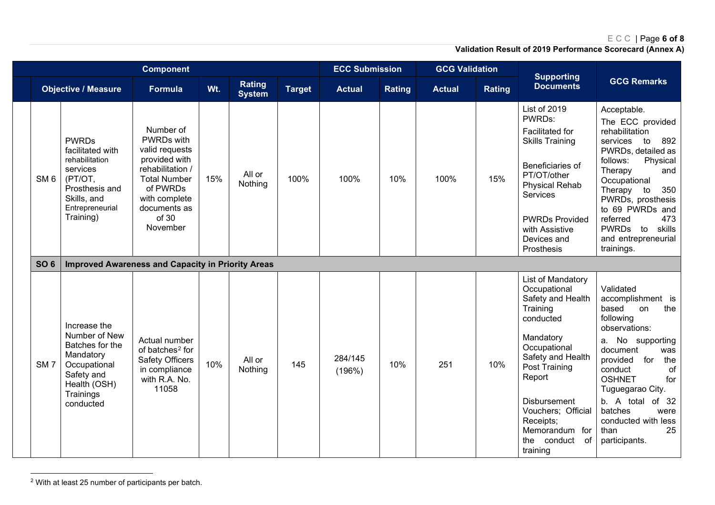# <span id="page-6-0"></span>ECC | Page **6 of 8**

| <b>Component</b> |                                                                                                                                            |                                                                                                                                                                         |     |                         |               | <b>ECC Submission</b> |               | <b>GCG Validation</b> |               |                                                                                                                                                                                                                                                                        |                                                                                                                                                                                                                                                                                                               |
|------------------|--------------------------------------------------------------------------------------------------------------------------------------------|-------------------------------------------------------------------------------------------------------------------------------------------------------------------------|-----|-------------------------|---------------|-----------------------|---------------|-----------------------|---------------|------------------------------------------------------------------------------------------------------------------------------------------------------------------------------------------------------------------------------------------------------------------------|---------------------------------------------------------------------------------------------------------------------------------------------------------------------------------------------------------------------------------------------------------------------------------------------------------------|
|                  | <b>Objective / Measure</b>                                                                                                                 | Formula                                                                                                                                                                 | Wt. | Rating<br><b>System</b> | <b>Target</b> | <b>Actual</b>         | <b>Rating</b> | <b>Actual</b>         | <b>Rating</b> | <b>Supporting</b><br><b>Documents</b>                                                                                                                                                                                                                                  | <b>GCG Remarks</b>                                                                                                                                                                                                                                                                                            |
| SM <sub>6</sub>  | <b>PWRDs</b><br>facilitated with<br>rehabilitation<br>services<br>(PT/OT,<br>Prosthesis and<br>Skills, and<br>Entrepreneurial<br>Training) | Number of<br>PWRDs with<br>valid requests<br>provided with<br>rehabilitation /<br><b>Total Number</b><br>of PWRDs<br>with complete<br>documents as<br>of 30<br>November | 15% | All or<br>Nothing       | 100%          | 100%                  | 10%           | 100%                  | 15%           | List of 2019<br>PWRDs:<br>Facilitated for<br><b>Skills Training</b><br>Beneficiaries of<br>PT/OT/other<br><b>Physical Rehab</b><br>Services<br><b>PWRDs Provided</b><br>with Assistive<br>Devices and<br>Prosthesis                                                    | Acceptable.<br>The ECC provided<br>rehabilitation<br>892<br>services to<br>PWRDs, detailed as<br>follows:<br>Physical<br>Therapy<br>and<br>Occupational<br>Therapy to<br>350<br>PWRDs, prosthesis<br>to 69 PWRDs and<br>473<br>referred<br>skills<br><b>PWRDs</b><br>to<br>and entrepreneurial<br>trainings.  |
| <b>SO 6</b>      | <b>Improved Awareness and Capacity in Priority Areas</b>                                                                                   |                                                                                                                                                                         |     |                         |               |                       |               |                       |               |                                                                                                                                                                                                                                                                        |                                                                                                                                                                                                                                                                                                               |
| SM <sub>7</sub>  | Increase the<br>Number of New<br>Batches for the<br>Mandatory<br>Occupational<br>Safety and<br>Health (OSH)<br>Trainings<br>conducted      | Actual number<br>of batches <sup>2</sup> for<br><b>Safety Officers</b><br>in compliance<br>with R.A. No.<br>11058                                                       | 10% | All or<br>Nothing       | 145           | 284/145<br>(196%)     | 10%           | 251                   | 10%           | List of Mandatory<br>Occupational<br>Safety and Health<br>Training<br>conducted<br>Mandatory<br>Occupational<br>Safety and Health<br>Post Training<br>Report<br><b>Disbursement</b><br>Vouchers; Official<br>Receipts;<br>Memorandum for<br>the conduct of<br>training | Validated<br>accomplishment is<br>based<br>the<br>on<br>following<br>observations:<br>a. No supporting<br>document<br>was<br>provided<br>for<br>the<br>conduct<br>of<br><b>OSHNET</b><br>for<br>Tuguegarao City.<br>b. A total of 32<br>batches<br>were<br>conducted with less<br>25<br>than<br>participants. |

<sup>2</sup> With at least 25 number of participants per batch.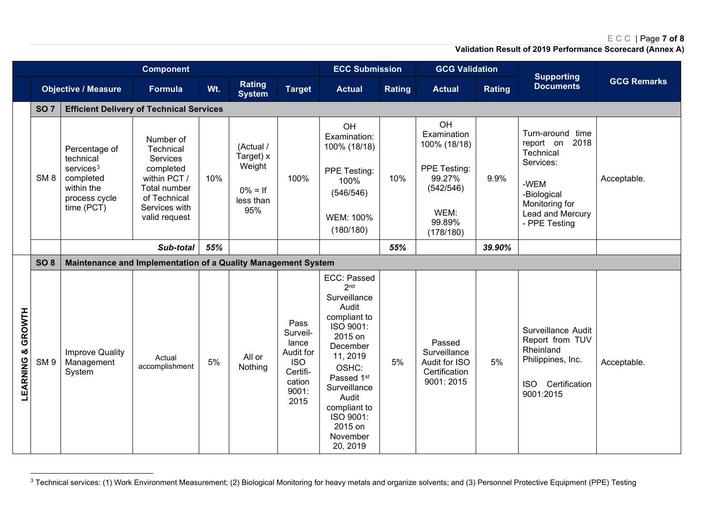# <span id="page-7-0"></span>ECC | Page **7 of 8**

|                      |                 |                                                                                                         | <b>Component</b>                                                                                                                  |     |                                                                    |                                                                                             | <b>ECC Submission</b>                                                                                                                                                                                                                               |        | <b>GCG Validation</b>                                                                                   |               | <b>Supporting</b>                                                                                                                             |                    |
|----------------------|-----------------|---------------------------------------------------------------------------------------------------------|-----------------------------------------------------------------------------------------------------------------------------------|-----|--------------------------------------------------------------------|---------------------------------------------------------------------------------------------|-----------------------------------------------------------------------------------------------------------------------------------------------------------------------------------------------------------------------------------------------------|--------|---------------------------------------------------------------------------------------------------------|---------------|-----------------------------------------------------------------------------------------------------------------------------------------------|--------------------|
|                      |                 | <b>Objective / Measure</b>                                                                              | <b>Formula</b>                                                                                                                    | Wt. | Rating<br><b>System</b>                                            | <b>Target</b>                                                                               | <b>Actual</b>                                                                                                                                                                                                                                       | Rating | <b>Actual</b>                                                                                           | <b>Rating</b> | <b>Documents</b>                                                                                                                              | <b>GCG Remarks</b> |
|                      | <b>SO 7</b>     | <b>Efficient Delivery of Technical Services</b>                                                         |                                                                                                                                   |     |                                                                    |                                                                                             |                                                                                                                                                                                                                                                     |        |                                                                                                         |               |                                                                                                                                               |                    |
|                      | SM <sub>8</sub> | Percentage of<br>technical<br>$s$ ervices $3$<br>completed<br>within the<br>process cycle<br>time (PCT) | Number of<br>Technical<br>Services<br>completed<br>within PCT /<br>Total number<br>of Technical<br>Services with<br>valid request | 10% | (Actual /<br>Target) x<br>Weight<br>$0\% = If$<br>less than<br>95% | 100%                                                                                        | OH<br>Examination:<br>100% (18/18)<br>PPE Testing:<br>100%<br>(546/546)<br>WEM: 100%<br>(180/180)                                                                                                                                                   | 10%    | OH<br>Examination<br>100% (18/18)<br>PPE Testing:<br>99.27%<br>(542/546)<br>WEM:<br>99.89%<br>(178/180) | 9.9%          | Turn-around time<br>report on<br>2018<br>Technical<br>Services:<br>-WEM<br>-Biological<br>Monitoring for<br>Lead and Mercury<br>- PPE Testing | Acceptable.        |
|                      |                 |                                                                                                         | Sub-total                                                                                                                         | 55% |                                                                    |                                                                                             |                                                                                                                                                                                                                                                     | 55%    |                                                                                                         | 39.90%        |                                                                                                                                               |                    |
|                      | SO <sub>8</sub> | Maintenance and Implementation of a Quality Management System                                           |                                                                                                                                   |     |                                                                    |                                                                                             |                                                                                                                                                                                                                                                     |        |                                                                                                         |               |                                                                                                                                               |                    |
| & GROWTH<br>LEARNING | SM <sub>9</sub> | Improve Quality<br>Management<br>System                                                                 | Actual<br>accomplishment                                                                                                          | 5%  | All or<br>Nothing                                                  | Pass<br>Surveil-<br>lance<br>Audit for<br><b>ISO</b><br>Certifi-<br>cation<br>9001:<br>2015 | ECC: Passed<br>2 <sub>nd</sub><br>Surveillance<br>Audit<br>compliant to<br>ISO 9001:<br>2015 on<br>December<br>11, 2019<br>OSHC:<br>Passed 1 <sup>st</sup><br>Surveillance<br>Audit<br>compliant to<br>ISO 9001:<br>2015 on<br>November<br>20, 2019 | 5%     | Passed<br>Surveillance<br>Audit for ISO<br>Certification<br>9001: 2015                                  | 5%            | Surveillance Audit<br>Report from TUV<br>Rheinland<br>Philippines, Inc.<br>Certification<br><b>ISO</b><br>9001:2015                           | Acceptable.        |

<sup>&</sup>lt;sup>3</sup> Technical services: (1) Work Environment Measurement; (2) Biological Monitoring for heavy metals and organize solvents; and (3) Personnel Protective Equipment (PPE) Testing